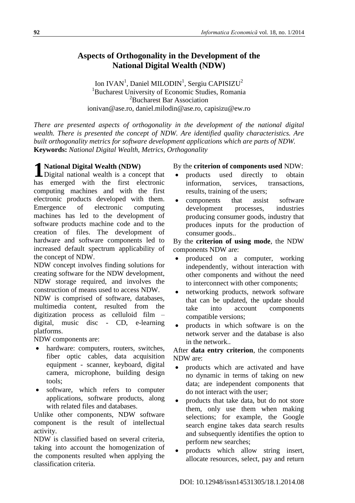# **Aspects of Orthogonality in the Development of the National Digital Wealth (NDW)**

Ion IVAN<sup>1</sup>, Daniel MILODIN<sup>1</sup>, Sergiu CAPISIZU<sup>2</sup> <sup>1</sup>Bucharest University of Economic Studies, Romania <sup>2</sup>Bucharest Bar Association ionivan@ase.ro, daniel.milodin@ase.ro, capisizu@ew.ro

*There are presented aspects of orthogonality in the development of the national digital wealth. There is presented the concept of NDW. Are identified quality characteristics. Are built orthogonality metrics for software development applications which are parts of NDW.* **Keywords:** *National Digital Wealth, Metrics, Orthogonality*

**1** National Digital Wealth (NDW)<br>Digital national wealth is a concern Digital national wealth is a concept that has emerged with the first electronic computing machines and with the first electronic products developed with them. Emergence of electronic computing machines has led to the development of software products machine code and to the creation of files. The development of hardware and software components led to increased default spectrum applicability of the concept of NDW.

NDW concept involves finding solutions for creating software for the NDW development, NDW storage required, and involves the construction of means used to access NDW. NDW is comprised of software, databases, multimedia content, resulted from the digitization process as celluloid film – digital, music disc - CD, e-learning platforms.

NDW components are:

- hardware: computers, routers, switches, fiber optic cables, data acquisition equipment - scanner, keyboard, digital camera, microphone, building design tools;
- software, which refers to computer applications, software products, along with related files and databases.

Unlike other components, NDW software component is the result of intellectual activity.

NDW is classified based on several criteria, taking into account the homogenization of the components resulted when applying the classification criteria.

# By the **criterion of components used** NDW:

- products used directly to obtain information, services, transactions, results, training of the users;
- components that assist software development processes, industries producing consumer goods, industry that produces inputs for the production of consumer goods..

By the **criterion of using mode**, the NDW components NDW are:

- produced on a computer, working independently, without interaction with other components and without the need to interconnect with other components;
- networking products, network software that can be updated, the update should take into account components compatible versions;
- products in which software is on the network server and the database is also in the network..

After **data entry criterion**, the components NDW are:

- products which are activated and have no dynamic in terms of taking on new data; are independent components that do not interact with the user;
- products that take data, but do not store them, only use them when making selections; for example, the Google search engine takes data search results and subsequently identifies the option to perform new searches;
- products which allow string insert, allocate resources, select, pay and return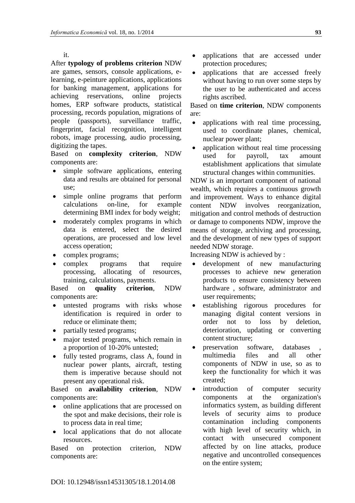it.

After **typology of problems criterion** NDW are games, sensors, console applications, elearning, e-peinture applications, applications for banking management, applications for achieving reservations, online projects homes, ERP software products, statistical processing, records population, migrations of people (passports), surveillance traffic, fingerprint, facial recognition, intelligent robots, image processing, audio processing, digitizing the tapes.

Based on **complexity criterion**, NDW components are:

- simple software applications, entering data and results are obtained for personal use;
- simple online programs that perform calculations on-line, for example determining BMI index for body weight;
- moderately complex programs in which data is entered, select the desired operations, are processed and low level access operation;
- complex programs;
- complex programs that require processing, allocating of resources, training, calculations, payments.

Based on **quality criterion**, NDW components are:

- untested programs with risks whose identification is required in order to reduce or eliminate them;
- partially tested programs;
- major tested programs, which remain in a proportion of 10-20% untested;
- fully tested programs, class A, found in nuclear power plants, aircraft, testing them is imperative because should not present any operational risk.

Based on **availability criterion**, NDW components are:

- online applications that are processed on the spot and make decisions, their role is to process data in real time;
- local applications that do not allocate resources.

Based on protection criterion, NDW components are:

- applications that are accessed under protection procedures;
- applications that are accessed freely without having to run over some steps by the user to be authenticated and access rights ascribed.

Based on **time criterion**, NDW components are:

- applications with real time processing, used to coordinate planes, chemical, nuclear power plant;
- application without real time processing used for payroll, tax amount establishment applications that simulate structural changes within communities.

NDW is an important component of national wealth, which requires a continuous growth and improvement. Ways to enhance digital content NDW involves reorganization, mitigation and control methods of destruction or damage to components NDW, improve the means of storage, archiving and processing, and the development of new types of support needed NDW storage.

Increasing NDW is achieved by :

- development of new manufacturing processes to achieve new generation products to ensure consistency between hardware , software, administrator and user requirements;
- establishing rigorous procedures for managing digital content versions in order not to loss by deletion, deterioration, updating or converting content structure;
- preservation software, databases multimedia files and all other components of NDW in use, so as to keep the functionality for which it was created;
- introduction of computer security components at the organization's informatics system, as building different levels of security aims to produce contamination including components with high level of security which, in contact with unsecured component affected by on line attacks, produce negative and uncontrolled consequences on the entire system;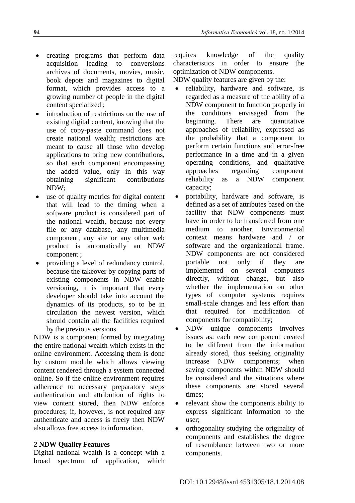- creating programs that perform data acquisition leading to conversions archives of documents, movies, music, book depots and magazines to digital format, which provides access to a growing number of people in the digital content specialized ;
- introduction of restrictions on the use of existing digital content, knowing that the use of copy-paste command does not create national wealth; restrictions are meant to cause all those who develop applications to bring new contributions, so that each component encompassing the added value, only in this way obtaining significant contributions NDW;
- use of quality metrics for digital content that will lead to the timing when a software product is considered part of the national wealth, because not every file or any database, any multimedia component, any site or any other web product is automatically an NDW component ;
- providing a level of redundancy control, because the takeover by copying parts of existing components in NDW enable versioning, it is important that every developer should take into account the dynamics of its products, so to be in circulation the newest version, which should contain all the facilities required by the previous versions.

NDW is a component formed by integrating the entire national wealth which exists in the online environment. Accessing them is done by custom module which allows viewing content rendered through a system connected online. So if the online environment requires adherence to necessary preparatory steps authentication and attribution of rights to view content stored, then NDW enforce procedures; if, however, is not required any authenticate and access is freely then NDW also allows free access to information.

#### **2 NDW Quality Features**

Digital national wealth is a concept with a broad spectrum of application, which requires knowledge of the quality characteristics in order to ensure the optimization of NDW components.

NDW quality features are given by the:

- reliability, hardware and software, is regarded as a measure of the ability of a NDW component to function properly in the conditions envisaged from the beginning. There are quantitative approaches of reliability, expressed as the probability that a component to perform certain functions and error-free performance in a time and in a given operating conditions, and qualitative approaches regarding component reliability as a NDW component capacity;
- portability, hardware and software, is defined as a set of attributes based on the facility that NDW components must have in order to be transferred from one medium to another. Environmental context means hardware and / or software and the organizational frame. NDW components are not considered portable not only if they are implemented on several computers directly, without change, but also whether the implementation on other types of computer systems requires small-scale changes and less effort than that required for modification of components for compatibility;
- NDW unique components involves issues as: each new component created to be different from the information already stored, thus seeking originality increase NDW components; when saving components within NDW should be considered and the situations where these components are stored several times;
- relevant show the components ability to express significant information to the user;
- orthogonality studying the originality of components and establishes the degree of resemblance between two or more components.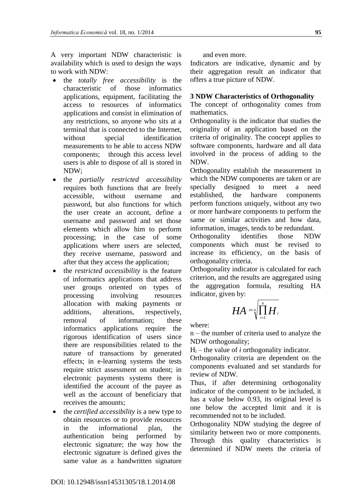A very important NDW characteristic is availability which is used to design the ways to work with NDW:

- the *totally free accessibility* is the characteristic of those informatics applications, equipment, facilitating the access to resources of informatics applications and consist in elimination of any restrictions, so anyone who sits at a terminal that is connected to the Internet, without special identification measurements to be able to access NDW components; through this access level users is able to dispose of all is stored in NDW;
- the *partially restricted accessibility* requires both functions that are freely accessible, without username and password, but also functions for which the user create an account, define a username and password and set those elements which allow him to perform processing; in the case of some applications where users are selected, they receive username, password and after that they access the application;
- the *restricted accessibility* is the feature of informatics applications that address user groups oriented on types of processing involving resources allocation with making payments or additions, alterations, respectively, removal of information; these informatics applications require the rigorous identification of users since there are responsibilities related to the nature of transactions by generated effects; in e-learning systems the tests require strict assessment on student; in electronic payments systems there is identified the account of the payee as well as the account of beneficiary that receives the amounts;
- the *certified accessibility* is a new type to obtain resources or to provide resources in the informational plan, the authentication being performed by electronic signature; the way how the electronic signature is defined gives the same value as a handwritten signature

and even more.

Indicators are indicative, dynamic and by their aggregation result an indicator that offers a true picture of NDW.

#### **3 NDW Characteristics of Orthogonality**

The concept of orthogonality comes from mathematics.

Orthogonality is the indicator that studies the originality of an application based on the criteria of originality. The concept applies to software components, hardware and all data involved in the process of adding to the NDW.

Orthogonality establish the measurement in which the NDW components are taken or are specially designed to meet a need established, the hardware components perform functions uniquely, without any two or more hardware components to perform the same or similar activities and how data, information, images, tends to be redundant.

Orthogonality identifies those NDW components which must be revised to increase its efficiency, on the basis of orthogonality criteria.

Orthogonality indicator is calculated for each criterion, and the results are aggregated using the aggregation formula, resulting HA indicator, given by:

$$
HA = \sqrt[n]{\prod_{i=1}^n H_i}
$$

where:

n – the number of criteria used to analyze the NDW orthogonality;

 $H_i$  – the value of *i* orthogonality indicator.

Orthogonality criteria are dependent on the components evaluated and set standards for review of NDW.

Thus, if after determining orthogonality indicator of the component to be included, it has a value below 0.93, its original level is one below the accepted limit and it is recommended not to be included.

Orthogonality NDW studying the degree of similarity between two or more components. Through this quality characteristics is determined if NDW meets the criteria of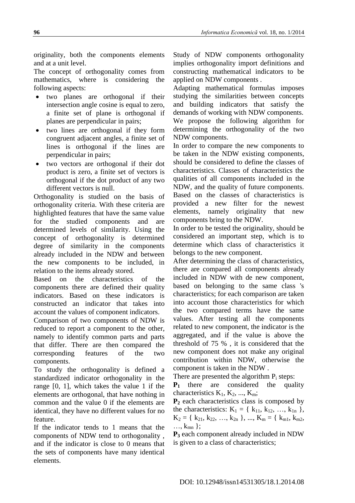originality, both the components elements and at a unit level.

The concept of orthogonality comes from mathematics, where is considering the following aspects:

- two planes are orthogonal if their intersection angle cosine is equal to zero, a finite set of plane is orthogonal if planes are perpendicular in pairs;
- two lines are orthogonal if they form congruent adjacent angles, a finite set of lines is orthogonal if the lines are perpendicular in pairs;
- two vectors are orthogonal if their dot product is zero, a finite set of vectors is orthogonal if the dot product of any two different vectors is null.

Orthogonality is studied on the basis of orthogonality criteria. With these criteria are highlighted features that have the same value for the studied components and are determined levels of similarity. Using the concept of orthogonality is determined degree of similarity in the components already included in the NDW and between the new components to be included, in relation to the items already stored.

Based on the characteristics of the components there are defined their quality indicators. Based on these indicators is constructed an indicator that takes into account the values of component indicators.

Comparison of two components of NDW is reduced to report a component to the other, namely to identify common parts and parts that differ. There are then compared the corresponding features of the two components.

To study the orthogonality is defined a standardized indicator orthogonality in the range [0, 1], which takes the value 1 if the elements are orthogonal, that have nothing in common and the value 0 if the elements are identical, they have no different values for no feature.

If the indicator tends to 1 means that the components of NDW tend to orthogonality , and if the indicator is close to 0 means that the sets of components have many identical elements.

Study of NDW components orthogonality implies orthogonality import definitions and constructing mathematical indicators to be applied on NDW components .

Adapting mathematical formulas imposes studying the similarities between concepts and building indicators that satisfy the demands of working with NDW components. We propose the following algorithm for determining the orthogonality of the two NDW components.

In order to compare the new components to be taken in the NDW existing components, should be considered to define the classes of characteristics. Classes of characteristics the qualities of all components included in the NDW, and the quality of future components. Based on the classes of characteristics is provided a new filter for the newest elements, namely originality that new components bring to the NDW.

In order to be tested the originality, should be considered an important step, which is to determine which class of characteristics it belongs to the new component.

After determining the class of characteristics, there are compared all components already included in NDW with de new component, based on belonging to the same class 's characteristics; for each comparison are taken into account those characteristics for which the two compared terms have the same values. After testing all the components related to new component, the indicator is the aggregated, and if the value is above the threshold of 75 % , it is considered that the new component does not make any original contribution within NDW, otherwise the component is taken in the NDW .

There are presented the algorithm  $P_i$  steps:

**P<sup>1</sup>** there are considered the quality characteristics  $K_1, K_2, ..., K_m$ ;

**P<sup>2</sup>** each characteristics class is composed by the characteristics:  $K_1 = \{ k_{11}, k_{12}, ..., k_{1n} \},$  $K_2 = \{ k_{21}, k_{22}, ..., k_{2n} \}, ..., K_m = \{ k_{m1}, k_{m2},$  $\ldots$ ,  $k_{mn}$  };

**P<sup>3</sup>** each component already included in NDW is given to a class of characteristics;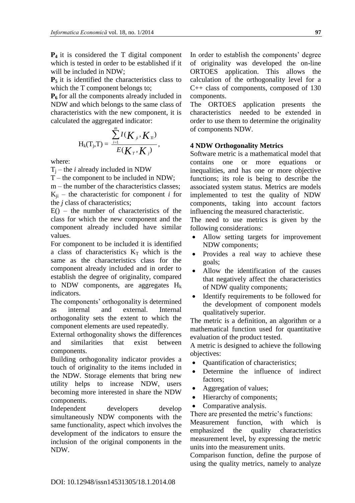**P<sup>4</sup>** it is considered the T digital component which is tested in order to be established if it will be included in NDW;

**P<sup>5</sup>** it is identified the characteristics class to which the T component belongs to;

**P<sup>6</sup>** for all the components already included in NDW and which belongs to the same class of characteristics with the new component, it is calculated the aggregated indicator:

$$
H_{k}(T_{j},T)=\frac{\sum_{i=1}^{m}I(K_{ji},K_{T})}{E(K_{T},K_{j})},
$$

where:

 $T_i$  – the *i* already included in NDW

T – the component to be included in NDW;

m – the number of the characteristics classes;  $K_{ii}$  – the characteristic for component *i* for the *j* class of characteristics;

 $E()$  – the number of characteristics of the class for which the new component and the component already included have similar values.

For component to be included it is identified a class of characteristics  $K<sub>T</sub>$  which is the same as the characteristics class for the component already included and in order to establish the degree of originality, compared to NDW components, are aggregates  $H_k$ indicators.

The components' orthogonality is determined as internal and external. Internal orthogonality sets the extent to which the component elements are used repeatedly.

External orthogonality shows the differences and similarities that exist between components.

Building orthogonality indicator provides a touch of originality to the items included in the NDW. Storage elements that bring new utility helps to increase NDW, users becoming more interested in share the NDW components.

Independent developers develop simultaneously NDW components with the same functionality, aspect which involves the development of the indicators to ensure the inclusion of the original components in the NDW.

In order to establish the components' degree of originality was developed the on-line ORTOES application. This allows the calculation of the orthogonality level for a C++ class of components, composed of 130 components.

The ORTOES application presents the characteristics needed to be extended in order to use them to determine the originality of components NDW.

### **4 NDW Orthogonality Metrics**

Software metric is a mathematical model that contains one or more equations or inequalities, and has one or more objective functions; its role is being to describe the associated system status. Metrics are models implemented to test the quality of NDW components, taking into account factors influencing the measured characteristic.

The need to use metrics is given by the following considerations:

- Allow setting targets for improvement NDW components;
- Provides a real way to achieve these goals;
- Allow the identification of the causes that negatively affect the characteristics of NDW quality components;
- Identify requirements to be followed for the development of component models qualitatively superior.

The metric is a definition, an algorithm or a mathematical function used for quantitative evaluation of the product tested.

A metric is designed to achieve the following objectives:

- Quantification of characteristics;
- Determine the influence of indirect factors;
- Aggregation of values;
- Hierarchy of components;
- Comparative analysis.

There are presented the metric's functions:

Measurement function, with which is emphasized the quality characteristics measurement level, by expressing the metric units into the measurement units.

Comparison function, define the purpose of using the quality metrics, namely to analyze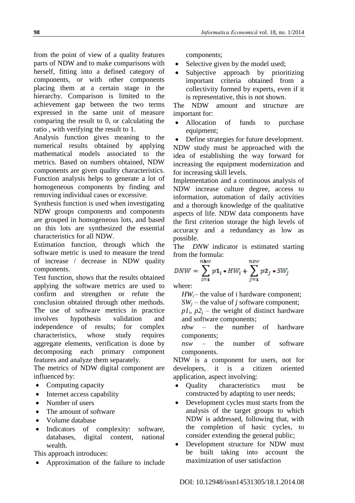from the point of view of a quality features parts of NDW and to make comparisons with herself, fitting into a defined category of components, or with other components placing them at a certain stage in the hierarchy. Comparison is limited to the achievement gap between the two terms expressed in the same unit of measure comparing the result to 0, or calculating the ratio , with verifying the result to 1.

Analysis function gives meaning to the numerical results obtained by applying mathematical models associated to the metrics. Based on numbers obtained, NDW components are given quality characteristics. Function analysis helps to generate a lot of homogeneous components by finding and removing individual cases or excessive.

Synthesis function is used when investigating NDW groups components and components are grouped in homogeneous lots, and based on this lots are synthesized the essential characteristics for all NDW.

Estimation function, through which the software metric is used to measure the trend of increase / decrease in NDW quality components.

Test function, shows that the results obtained applying the software metrics are used to confirm and strengthen or refute the conclusion obtained through other methods. The use of software metrics in practice involves hypothesis validation and independence of results; for complex characteristics, whose study requires aggregate elements, verification is done by decomposing each primary component features and analyze them separately.

The metrics of NDW digital component are influenced by:

- Computing capacity
- Internet access capability
- Number of users
- The amount of software
- Volume database
- Indicators of complexity: software, databases, digital content, national wealth.

This approach introduces:

Approximation of the failure to include

components;

- Selective given by the model used;
- Subjective approach by prioritizing important criteria obtained from a collectivity formed by experts, even if it is representative, this is not shown.

The NDW amount and structure are important for:

 Allocation of funds to purchase equipment;

 Define strategies for future development. NDW study must be approached with the idea of establishing the way forward for increasing the equipment modernization and for increasing skill levels.

Implementation and a continuous analysis of NDW increase culture degree, access to information, automation of daily activities and a thorough knowledge of the qualitative aspects of life. NDW data components have the first criterion storage the high levels of accuracy and a redundancy as low as possible.

The *DNW* indicator is estimated starting from the formula:

$$
DNW = \sum_{i=1}^{nhw} p\mathbf{1}_i * HW_i + \sum_{j=1}^{nsw} p\mathbf{2}_j * SW_j
$$

where:

*HWi*– the value of *i* hardware component;

 $SW_i$  – the value of *j* software component;  $p_1$ ,  $p_2$  – the weight of distinct hardware

and software components; *nhw* – the number of hardware

components;

*nsw* – the number of software components.

NDW is a component for users, not for developers, it is a citizen oriented application, aspect involving:

- Quality characteristics must be constructed by adapting to user needs;
- Development cycles must starts from the analysis of the target groups to which NDW is addressed, following that, with the completion of basic cycles, to consider extending the general public;
- Development structure for NDW must be built taking into account the maximization of user satisfaction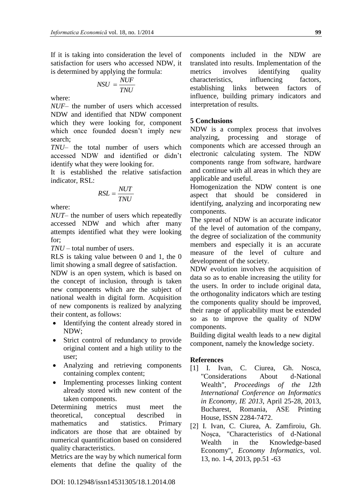If it is taking into consideration the level of satisfaction for users who accessed NDW, it is determined by applying the formula:

$$
NSU = \frac{NUF}{TNU}
$$

where:

*NUF*– the number of users which accessed NDW and identified that NDW component which they were looking for, component which once founded doesn't imply new search;

*TNU*– the total number of users which accessed NDW and identified or didn't identify what they were looking for.

It is established the relative satisfaction indicator, RSL:

$$
RSL = \frac{NUT}{TNU}
$$

where:

*NUT*– the number of users which repeatedly accessed NDW and which after many attempts identified what they were looking for;

*TNU* – total number of users.

RLS is taking value between 0 and 1, the 0 limit showing a small degree of satisfaction.

NDW is an open system, which is based on the concept of inclusion, through is taken new components which are the subject of national wealth in digital form. Acquisition of new components is realized by analyzing their content, as follows:

- Identifying the content already stored in NDW;
- Strict control of redundancy to provide original content and a high utility to the user;
- Analyzing and retrieving components containing complex content;
- Implementing processes linking content already stored with new content of the taken components.

Determining metrics must meet the theoretical, conceptual described in mathematics and statistics. Primary indicators are those that are obtained by numerical quantification based on considered quality characteristics.

Metrics are the way by which numerical form elements that define the quality of the components included in the NDW are translated into results. Implementation of the metrics involves identifying quality characteristics, influencing factors, establishing links between factors of influence, building primary indicators and interpretation of results.

## **5 Conclusions**

NDW is a complex process that involves analyzing, processing and storage of components which are accessed through an electronic calculating system. The NDW components range from software, hardware and continue with all areas in which they are applicable and useful.

Homogenization the NDW content is one aspect that should be considered in identifying, analyzing and incorporating new components.

The spread of NDW is an accurate indicator of the level of automation of the company, the degree of socialization of the community members and especially it is an accurate measure of the level of culture and development of the society.

NDW evolution involves the acquisition of data so as to enable increasing the utility for the users. In order to include original data, the orthogonality indicators which are testing the components quality should be improved, their range of applicability must be extended so as to improve the quality of NDW components.

Building digital wealth leads to a new digital component, namely the knowledge society.

#### **References**

- [1] I. Ivan, C. Ciurea, Gh. Nosca, "Considerations About d-National Wealth", *Proceedings of the 12th International Conference on Informatics in Economy, IE 2013*, April 25-28, 2013, Bucharest, Romania, ASE Printing House, ISSN 2284-7472.
- [2] I. Ivan, C. Ciurea, A. Zamfiroiu, Gh. Noșca, "Characteristics of d-National Wealth in the Knowledge-based Economy", *Economy Informatics*, vol. 13, no. 1-4, 2013, pp.51 -63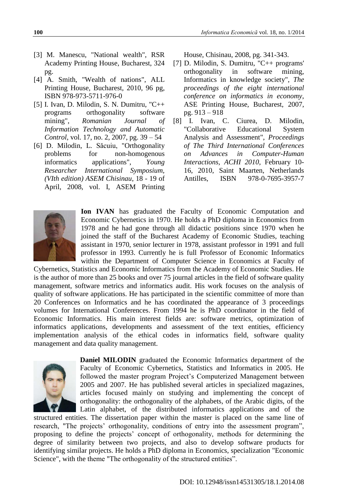- [3] M. Manescu, "National wealth", RSR Academy Printing House, Bucharest, 324 pg.
- [4] A. Smith, "Wealth of nations", ALL Printing House, Bucharest, 2010, 96 pg, ISBN 978-973-5711-976-0
- [5] I. Ivan, D. Milodin, S. N. Dumitru, "C++ programs orthogonality software mining", *Romanian Journal of Information Technology and Automatic Control*, vol. 17, no. 2, 2007, pg. 39 – 54
- [6] D. Milodin, L. Săcuiu, "Orthogonality problems for non-homogenous informatics applications", *Young Researcher International Symposium, (VIth edition) ASEM Chisinau*, 18 - 19 of April, 2008, vol. I, ASEM Printing

House, Chisinau, 2008, pg. 341-343.

- [7] D. Milodin, S. Dumitru, "C++ programs' orthogonality in software mining, Informatics in knowledge society", *The proceedings of the eight international conference on informatics in economy*, ASE Printing House, Bucharest, 2007, pg. 913 – 918
- [8] I. Ivan, C. Ciurea, D. Milodin, "Collaborative Educational System Analysis and Assessment", *Proceedings of The Third International Conferences on Advances in Computer-Human Interactions, ACHI 2010*, February 10- 16, 2010, Saint Maarten, Netherlands Antilles, ISBN 978-0-7695-3957-7



**Ion IVAN** has graduated the Faculty of Economic Computation and Economic Cybernetics in 1970. He holds a PhD diploma in Economics from 1978 and he had gone through all didactic positions since 1970 when he joined the staff of the Bucharest Academy of Economic Studies, teaching assistant in 1970, senior lecturer in 1978, assistant professor in 1991 and full professor in 1993. Currently he is full Professor of Economic Informatics within the Department of Computer Science in Economics at Faculty of

Cybernetics, Statistics and Economic Informatics from the Academy of Economic Studies. He is the author of more than 25 books and over 75 journal articles in the field of software quality management, software metrics and informatics audit. His work focuses on the analysis of quality of software applications. He has participated in the scientific committee of more than 20 Conferences on Informatics and he has coordinated the appearance of 3 proceedings volumes for International Conferences. From 1994 he is PhD coordinator in the field of Economic Informatics. His main interest fields are: software metrics, optimization of informatics applications, developments and assessment of the text entities, efficiency implementation analysis of the ethical codes in informatics field, software quality management and data quality management.



**Daniel MILODIN** graduated the Economic Informatics department of the Faculty of Economic Cybernetics, Statistics and Informatics in 2005. He followed the master program Project's Computerized Management between 2005 and 2007. He has published several articles in specialized magazines, articles focused mainly on studying and implementing the concept of orthogonality: the orthogonality of the alphabets, of the Arabic digits, of the Latin alphabet, of the distributed informatics applications and of the

structured entities. The dissertation paper within the master is placed on the same line of research, "The projects' orthogonality, conditions of entry into the assessment program", proposing to define the projects' concept of orthogonality, methods for determining the degree of similarity between two projects, and also to develop software products for identifying similar projects. He holds a PhD diploma in Economics, specialization "Economic Science", with the theme "The orthogonality of the structured entities".